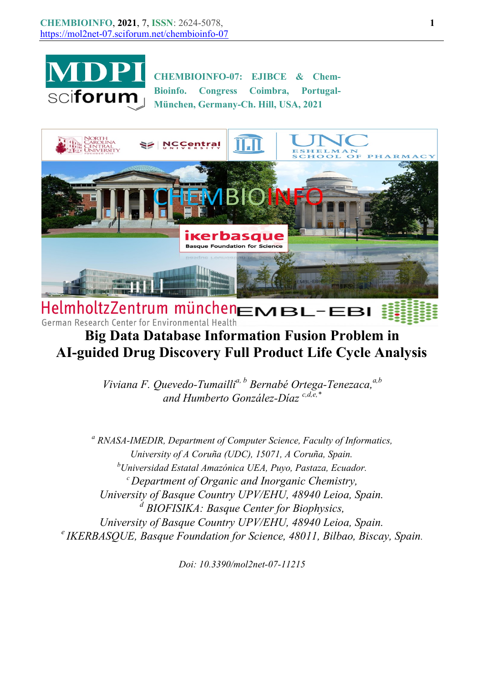

CHEMBIOINFO-07: EJIBCE & Chem-Bioinfo. Congress Coimbra, Portugal-München, Germany-Ch. Hill, USA, 2021



HelmholtzZentrum münchenEMBL-EBI German Research Center for Environmental Health

## Big Data Database Information Fusion Problem in AI-guided Drug Discovery Full Product Life Cycle Analysis

Viviana F. Quevedo-Tumailli<sup>a, b</sup> Bernabé Ortega-Tenezaca,<sup>a,b</sup> and Humberto González-Díaz  $c, d, e, *$ 

<sup>a</sup> RNASA-IMEDIR, Department of Computer Science, Faculty of Informatics, University of A Coruña (UDC), 15071, A Coruña, Spain.  $^{b}$ Universidad Estatal Amazónica UEA, Puyo, Pastaza, Ecuador.  $\epsilon$  Department of Organic and Inorganic Chemistry, University of Basque Country UPV/EHU, 48940 Leioa, Spain. <sup>d</sup> BIOFISIKA: Basque Center for Biophysics, University of Basque Country UPV/EHU, 48940 Leioa, Spain.  $e$  IKERBASQUE, Basque Foundation for Science, 48011, Bilbao, Biscay, Spain.

Doi: 10.3390/mol2net-07-11215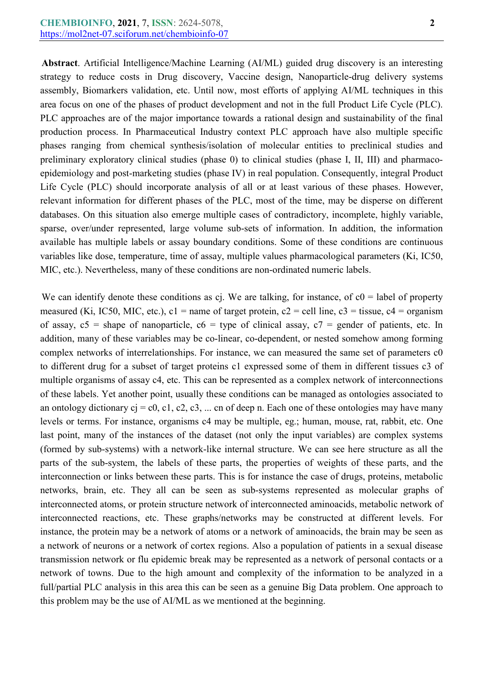Abstract. Artificial Intelligence/Machine Learning (AI/ML) guided drug discovery is an interesting strategy to reduce costs in Drug discovery, Vaccine design, Nanoparticle-drug delivery systems assembly, Biomarkers validation, etc. Until now, most efforts of applying AI/ML techniques in this area focus on one of the phases of product development and not in the full Product Life Cycle (PLC). PLC approaches are of the major importance towards a rational design and sustainability of the final production process. In Pharmaceutical Industry context PLC approach have also multiple specific phases ranging from chemical synthesis/isolation of molecular entities to preclinical studies and preliminary exploratory clinical studies (phase 0) to clinical studies (phase I, II, III) and pharmacoepidemiology and post-marketing studies (phase IV) in real population. Consequently, integral Product Life Cycle (PLC) should incorporate analysis of all or at least various of these phases. However, relevant information for different phases of the PLC, most of the time, may be disperse on different databases. On this situation also emerge multiple cases of contradictory, incomplete, highly variable, sparse, over/under represented, large volume sub-sets of information. In addition, the information available has multiple labels or assay boundary conditions. Some of these conditions are continuous variables like dose, temperature, time of assay, multiple values pharmacological parameters (Ki, IC50, MIC, etc.). Nevertheless, many of these conditions are non-ordinated numeric labels.

We can identify denote these conditions as cj. We are talking, for instance, of  $c0 =$  label of property measured (Ki, IC50, MIC, etc.),  $c1$  = name of target protein,  $c2$  = cell line,  $c3$  = tissue,  $c4$  = organism of assay,  $c5$  = shape of nanoparticle,  $c6$  = type of clinical assay,  $c7$  = gender of patients, etc. In addition, many of these variables may be co-linear, co-dependent, or nested somehow among forming complex networks of interrelationships. For instance, we can measured the same set of parameters c0 to different drug for a subset of target proteins c1 expressed some of them in different tissues c3 of multiple organisms of assay c4, etc. This can be represented as a complex network of interconnections of these labels. Yet another point, usually these conditions can be managed as ontologies associated to an ontology dictionary  $c<sub>i</sub> = c<sub>0</sub>, c<sub>1</sub>, c<sub>2</sub>, c<sub>3</sub>, ...$  cn of deep n. Each one of these ontologies may have many levels or terms. For instance, organisms c4 may be multiple, eg.; human, mouse, rat, rabbit, etc. One last point, many of the instances of the dataset (not only the input variables) are complex systems (formed by sub-systems) with a network-like internal structure. We can see here structure as all the parts of the sub-system, the labels of these parts, the properties of weights of these parts, and the interconnection or links between these parts. This is for instance the case of drugs, proteins, metabolic networks, brain, etc. They all can be seen as sub-systems represented as molecular graphs of interconnected atoms, or protein structure network of interconnected aminoacids, metabolic network of interconnected reactions, etc. These graphs/networks may be constructed at different levels. For instance, the protein may be a network of atoms or a network of aminoacids, the brain may be seen as a network of neurons or a network of cortex regions. Also a population of patients in a sexual disease transmission network or flu epidemic break may be represented as a network of personal contacts or a network of towns. Due to the high amount and complexity of the information to be analyzed in a full/partial PLC analysis in this area this can be seen as a genuine Big Data problem. One approach to this problem may be the use of AI/ML as we mentioned at the beginning.